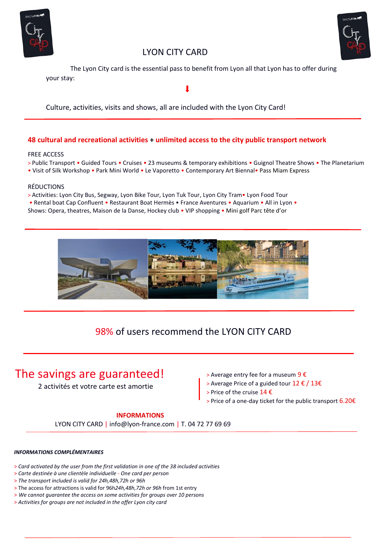



## LYON CITY CARD

 The Lyon City card is the essential pass to benefit from Lyon all that Lyon has to offer during your stay:

Culture, activities, visits and shows, all are included with the Lyon City Card!

## **48 cultural and recreational activities + unlimited access to the city public transport network**

#### FREE ACCESS

> Public Transport • Guided Tours • Cruises • 23 museums & temporary exhibitions • Guignol Theatre Shows • The Planetarium

• Visit of Silk Workshop • Park Mini World • Le Vaporetto • Contemporary Art Biennal• Pass Miam Express

#### RÉDUCTIONS

- > Activities: Lyon City Bus, Segway, Lyon Bike Tour, Lyon Tuk Tour, Lyon City Tram• Lyon Food Tour
- Rental boat Cap Confluent Restaurant Boat Hermès France Aventures Aquarium All in Lyon •

Shows: Opera, theatres, Maison de la Danse, Hockey club • VIP shopping • Mini golf Parc tête d'or



# 98% of users recommend the LYON CITY CARD

# The savings are guaranteed!

2 activités et votre carte est amortie

- > Average entry fee for a museum  $9 \in$
- > Average Price of a guided tour 12 € / 13€
- > Price of the cruise 14 €
- > Price of a one-day ticket for the public transport 6.20€

## **INFORMATIONS**

LYON CITY CARD | info@lyon-france.com | T. 04 72 77 69 69

#### *INFORMATIONS COMPLÉMENTAIRES*

- > *Card activated by the user from the first validation in one of the 38 included activities*
- > *Carte destinée à une clientèle individuelle One card per person*
- > *The transport included is valid for 24h,48h,72h or 96h*
- > The access for attractions is valid for 96h*24h,48h,72h or 96h* from 1st entry
- > *We cannot guarantee the access on some activities for groups over 10 persons*
- > *Activities for groups are not included in the offer Lyon city card*